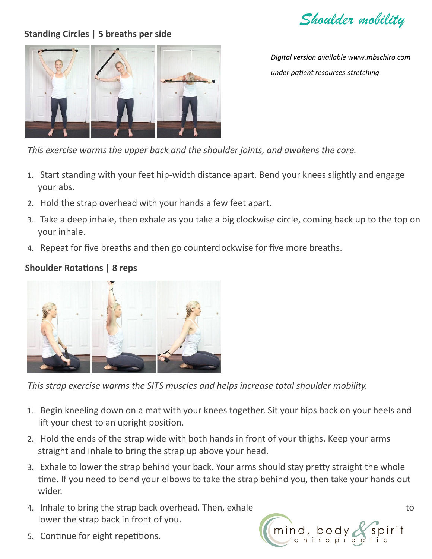*Shoulder mobility* 

# **Standing Circles | 5 breaths per side**



*Digital version available www.mbschiro.com under patient resources-stretching*

*This exercise warms the upper back and the shoulder joints, and awakens the core.*

- 1. Start standing with your feet hip-width distance apart. Bend your knees slightly and engage your abs.
- 2. Hold the strap overhead with your hands a few feet apart.
- 3. Take a deep inhale, then exhale as you take a big clockwise circle, coming back up to the top on your inhale.
- 4. Repeat for five breaths and then go counterclockwise for five more breaths.

#### **Shoulder Rotations | 8 reps**



*This strap exercise warms the SITS muscles and helps increase total shoulder mobility.*

- 1. Begin kneeling down on a mat with your knees together. Sit your hips back on your heels and lift your chest to an upright position.
- 2. Hold the ends of the strap wide with both hands in front of your thighs. Keep your arms straight and inhale to bring the strap up above your head.
- 3. Exhale to lower the strap behind your back. Your arms should stay pretty straight the whole time. If you need to bend your elbows to take the strap behind you, then take your hands out wider.
- 4. Inhale to bring the strap back overhead. Then, exhale the straph of the straph of to lower the strap back in front of you.



5. Continue for eight repetitions.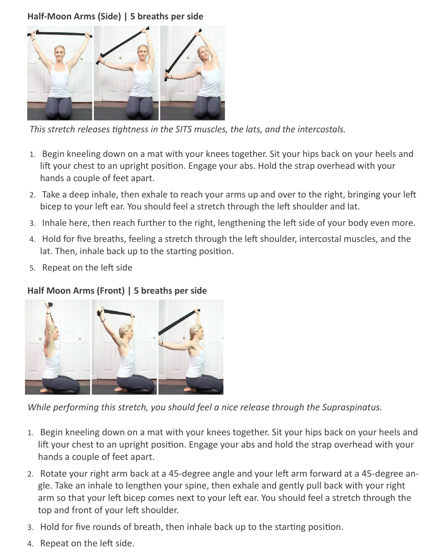#### **Half-Moon Arms (Side) | 5 breaths per side**



*This stretch releases tightness in the SITS muscles, the lats, and the intercostals.*

- 1. Begin kneeling down on a mat with your knees together. Sit your hips back on your heels and lift your chest to an upright position. Engage your abs. Hold the strap overhead with your hands a couple of feet apart.
- 2. Take a deep inhale, then exhale to reach your arms up and over to the right, bringing your left bicep to your left ear. You should feel a stretch through the left shoulder and lat.
- 3. Inhale here, then reach further to the right, lengthening the left side of your body even more.
- 4. Hold for five breaths, feeling a stretch through the left shoulder, intercostal muscles, and the lat. Then, inhale back up to the starting position.
- 5. Repeat on the left side

## **Half Moon Arms (Front) | 5 breaths per side**



*While performing this stretch, you should feel a nice release through the Supraspinatus.*

- 1. Begin kneeling down on a mat with your knees together. Sit your hips back on your heels and lift your chest to an upright position. Engage your abs and hold the strap overhead with your hands a couple of feet apart.
- 2. Rotate your right arm back at a 45-degree angle and your left arm forward at a 45-degree angle. Take an inhale to lengthen your spine, then exhale and gently pull back with your right arm so that your left bicep comes next to your left ear. You should feel a stretch through the top and front of your left shoulder.
- 3. Hold for five rounds of breath, then inhale back up to the starting position.
- 4. Repeat on the left side.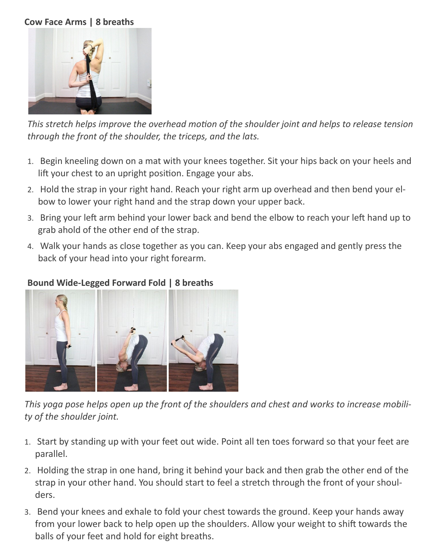## **Cow Face Arms | 8 breaths**





- 1. Begin kneeling down on a mat with your knees together. Sit your hips back on your heels and lift your chest to an upright position. Engage your abs.
- 2. Hold the strap in your right hand. Reach your right arm up overhead and then bend your elbow to lower your right hand and the strap down your upper back.
- 3. Bring your left arm behind your lower back and bend the elbow to reach your left hand up to grab ahold of the other end of the strap.
- 4. Walk your hands as close together as you can. Keep your abs engaged and gently press the back of your head into your right forearm.

## **Bound Wide-Legged Forward Fold | 8 breaths**



*This yoga pose helps open up the front of the shoulders and chest and works to increase mobility of the shoulder joint.*

- 1. Start by standing up with your feet out wide. Point all ten toes forward so that your feet are parallel.
- 2. Holding the strap in one hand, bring it behind your back and then grab the other end of the strap in your other hand. You should start to feel a stretch through the front of your shoulders.
- 3. Bend your knees and exhale to fold your chest towards the ground. Keep your hands away from your lower back to help open up the shoulders. Allow your weight to shift towards the balls of your feet and hold for eight breaths.